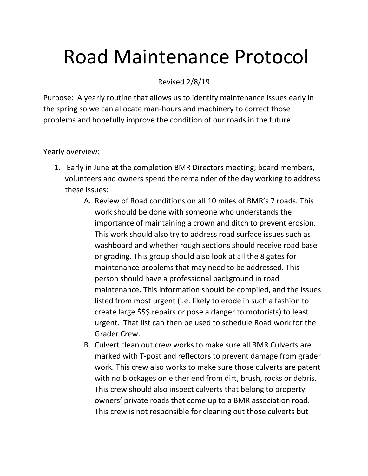## Road Maintenance Protocol

Revised 2/8/19

Purpose: A yearly routine that allows us to identify maintenance issues early in the spring so we can allocate man-hours and machinery to correct those problems and hopefully improve the condition of our roads in the future.

Yearly overview:

- 1. Early in June at the completion BMR Directors meeting; board members, volunteers and owners spend the remainder of the day working to address these issues:
	- A. Review of Road conditions on all 10 miles of BMR's 7 roads. This work should be done with someone who understands the importance of maintaining a crown and ditch to prevent erosion. This work should also try to address road surface issues such as washboard and whether rough sections should receive road base or grading. This group should also look at all the 8 gates for maintenance problems that may need to be addressed. This person should have a professional background in road maintenance. This information should be compiled, and the issues listed from most urgent (i.e. likely to erode in such a fashion to create large \$\$\$ repairs or pose a danger to motorists) to least urgent. That list can then be used to schedule Road work for the Grader Crew.
	- B. Culvert clean out crew works to make sure all BMR Culverts are marked with T-post and reflectors to prevent damage from grader work. This crew also works to make sure those culverts are patent with no blockages on either end from dirt, brush, rocks or debris. This crew should also inspect culverts that belong to property owners' private roads that come up to a BMR association road. This crew is not responsible for cleaning out those culverts but